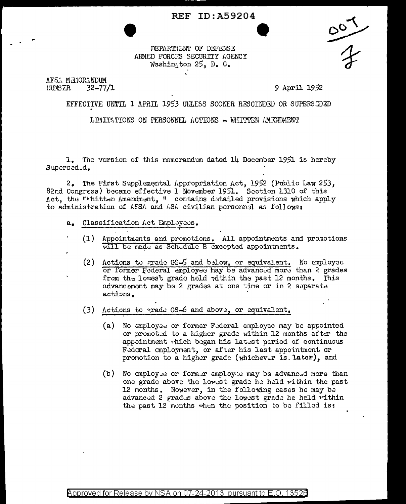## **REF ID: A59204**



DEPARTMENT OF DEFENSE ARMED FORCES SECURITY AGENCY Washington  $25$ , D. C.

AFS. MENORINDUM IJUMBER  $32 - 77/1$ 

9 April 1952

## EFFECTIVE UNTIL 1 APRIL 1953 UNLESS SOONER RESCINDED OR SUPERSEDED

LIMITATIONS ON PERSONNEL ACTIONS - WHITTEN AMENDMENT

1. The version of this memerandum dated  $1\mu$  Docember 1951 is hereby Supersed.d.

2. The First Supplemental Appropriation Act, 1952 (Public Law 253, 82nd Congress) became effective 1 November 1951. Section 1310 of this Act, the ""hitten Amendment, " contains detailed provisions which apply to administration of AFSA and ASA civilian personnel as follows:

- Classification Act Employees.  $a_{\bullet}$
- (1) Appointments and promotions. All appointments and promotions will be made as Schedule B excepted appointments.
	- (2) Actions to grade GS-5 and below, or equivalent. No employee or former Federal employee hay be advanced more than 2 grades from the lowest grade held within the past 12 months. This advancement may be 2 grades at one time or in 2 separate actions.
	- $(3)$ Actions to grade GS-6 and above, or equivalent.
		- (a) No employee or former Federal employee may be appointed or promoted to a higher grade within 12 months after the appointment which began his latest period of continuous Fedcral omployment, or after his last appointment or promotion to a higher grade (whichever is later), and
		- (b) No employed or former employed may be advanced more than one grade above the lowest grade he held within the past 12 months. Nowever, in the following cases he may be advanced 2 grades above the lowest grade he held within the past 12 months when the position to be filled is: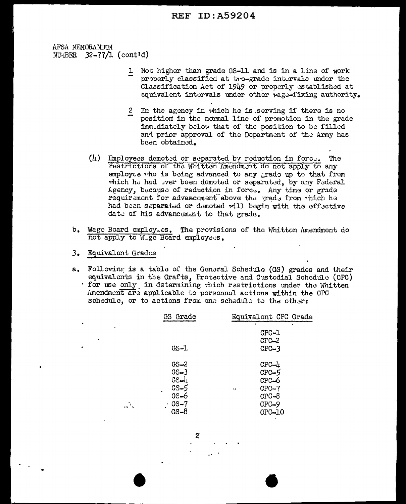## **REF ID: A59204**

AFSA MEMORANDUM NU-iBER  $32-77/1$  (contid)

- 1 Not higher than grade GS-11 and is in a line of work properly classified at tro-grade intervals under the Classification Act of 1949 or properly established at equivalent intervals under other vage-fixing authority.
- 2 In the agency in which he is serving if there is no position in the normal line of promotion in the grade imm.diately below that of the position to be filled and prior approval of the Department of the Army has been obtained.
- $(l)$  Employees demoted or separated by reduction in force. The restrictions of the Whitten Amendment do not apply to any employee the is being advanced to any grade up to that from which he had over been demoted or separated, by any Federal Agency, because of reduction in force. Any time or grade requirement for advancement above the grade from which he had been separated or demoted will begin with the effective date of his advancement to that grade.
- b. Wage Board employ.es. The provisions of the Whitten Amendment do not apply to W ge Board employees.
- 3. Equivalent Grades
- a. Following is a table of the General Schedule (GS) grades and their equivalents in the Crafts. Protective and Custodial Schedule (CPC) for use only in determining thich restrictions under the Whitten Amendment are applicable to personnel actions within the CPC schedule, or to actions from one schedule to the other:

|    | GS Grade | Equivalent CPC Grade |
|----|----------|----------------------|
|    |          | ×                    |
|    |          | CPC-1                |
|    |          | $C\Gamma C-2$        |
|    | GS-1     | $CPC-3$              |
|    | GS-2     | $CPC - l_1$          |
|    | $GS - 3$ | $CPC-5$              |
|    | GS-4     | CPC-6                |
|    | GS-5     | $CPC-7$<br>$\bullet$ |
|    | $GS - 6$ | $CPC-8$              |
| Щ. | $GS - 7$ | $CPC-9$              |
|    | $GS - 8$ | CPC-10               |

 $\mathbf{z}$